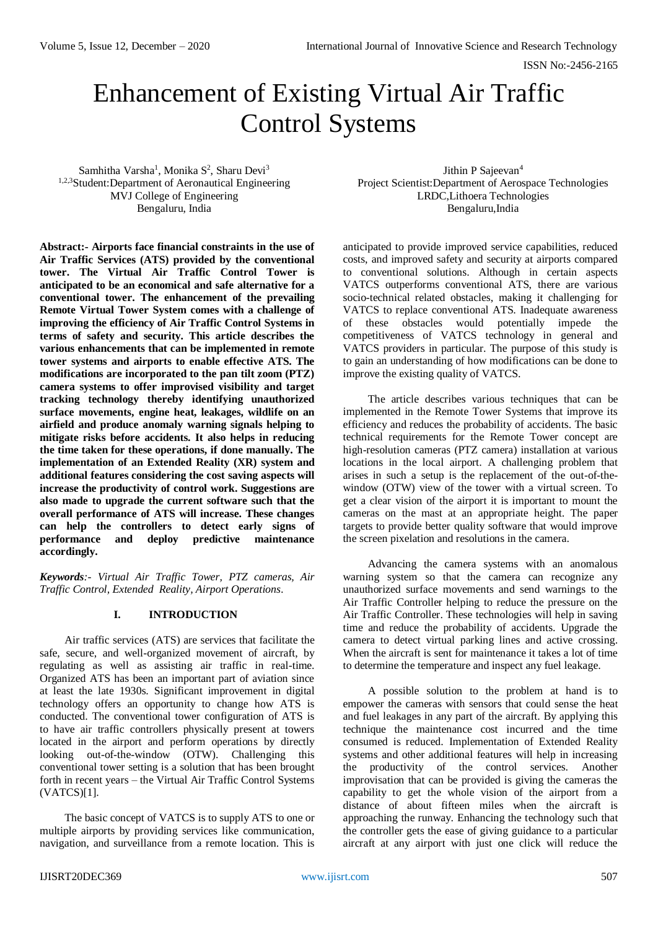ISSN No:-2456-2165

# Enhancement of Existing Virtual Air Traffic Control Systems

Samhitha Varsha<sup>1</sup>, Monika S<sup>2</sup>, Sharu Devi<sup>3</sup> 1,2,3Student:Department of Aeronautical Engineering MVJ College of Engineering Bengaluru, India

**Abstract:- Airports face financial constraints in the use of Air Traffic Services (ATS) provided by the conventional tower. The Virtual Air Traffic Control Tower is anticipated to be an economical and safe alternative for a conventional tower. The enhancement of the prevailing Remote Virtual Tower System comes with a challenge of improving the efficiency of Air Traffic Control Systems in terms of safety and security. This article describes the various enhancements that can be implemented in remote tower systems and airports to enable effective ATS. The modifications are incorporated to the pan tilt zoom (PTZ) camera systems to offer improvised visibility and target tracking technology thereby identifying unauthorized surface movements, engine heat, leakages, wildlife on an airfield and produce anomaly warning signals helping to mitigate risks before accidents. It also helps in reducing the time taken for these operations, if done manually. The implementation of an Extended Reality (XR) system and additional features considering the cost saving aspects will increase the productivity of control work. Suggestions are also made to upgrade the current software such that the overall performance of ATS will increase. These changes can help the controllers to detect early signs of performance and deploy predictive maintenance accordingly.**

*Keywords:- Virtual Air Traffic Tower, PTZ cameras, Air Traffic Control, Extended Reality, Airport Operations.*

## **I. INTRODUCTION**

Air traffic services (ATS) are services that facilitate the safe, secure, and well-organized movement of aircraft, by regulating as well as assisting air traffic in real-time. Organized ATS has been an important part of aviation since at least the late 1930s. Significant improvement in digital technology offers an opportunity to change how ATS is conducted. The conventional tower configuration of ATS is to have air traffic controllers physically present at towers located in the airport and perform operations by directly looking out-of-the-window (OTW). Challenging this conventional tower setting is a solution that has been brought forth in recent years – the Virtual Air Traffic Control Systems (VATCS)[1].

The basic concept of VATCS is to supply ATS to one or multiple airports by providing services like communication, navigation, and surveillance from a remote location. This is

Jithin P Sajeevan<sup>4</sup> Project Scientist:Department of Aerospace Technologies LRDC,Lithoera Technologies Bengaluru,India

anticipated to provide improved service capabilities, reduced costs, and improved safety and security at airports compared to conventional solutions. Although in certain aspects VATCS outperforms conventional ATS, there are various socio-technical related obstacles, making it challenging for VATCS to replace conventional ATS. Inadequate awareness of these obstacles would potentially impede the competitiveness of VATCS technology in general and VATCS providers in particular. The purpose of this study is to gain an understanding of how modifications can be done to improve the existing quality of VATCS.

The article describes various techniques that can be implemented in the Remote Tower Systems that improve its efficiency and reduces the probability of accidents. The basic technical requirements for the Remote Tower concept are high-resolution cameras (PTZ camera) installation at various locations in the local airport. A challenging problem that arises in such a setup is the replacement of the out-of-thewindow (OTW) view of the tower with a virtual screen. To get a clear vision of the airport it is important to mount the cameras on the mast at an appropriate height. The paper targets to provide better quality software that would improve the screen pixelation and resolutions in the camera.

Advancing the camera systems with an anomalous warning system so that the camera can recognize any unauthorized surface movements and send warnings to the Air Traffic Controller helping to reduce the pressure on the Air Traffic Controller. These technologies will help in saving time and reduce the probability of accidents. Upgrade the camera to detect virtual parking lines and active crossing. When the aircraft is sent for maintenance it takes a lot of time to determine the temperature and inspect any fuel leakage.

A possible solution to the problem at hand is to empower the cameras with sensors that could sense the heat and fuel leakages in any part of the aircraft. By applying this technique the maintenance cost incurred and the time consumed is reduced. Implementation of Extended Reality systems and other additional features will help in increasing the productivity of the control services. Another improvisation that can be provided is giving the cameras the capability to get the whole vision of the airport from a distance of about fifteen miles when the aircraft is approaching the runway. Enhancing the technology such that the controller gets the ease of giving guidance to a particular aircraft at any airport with just one click will reduce the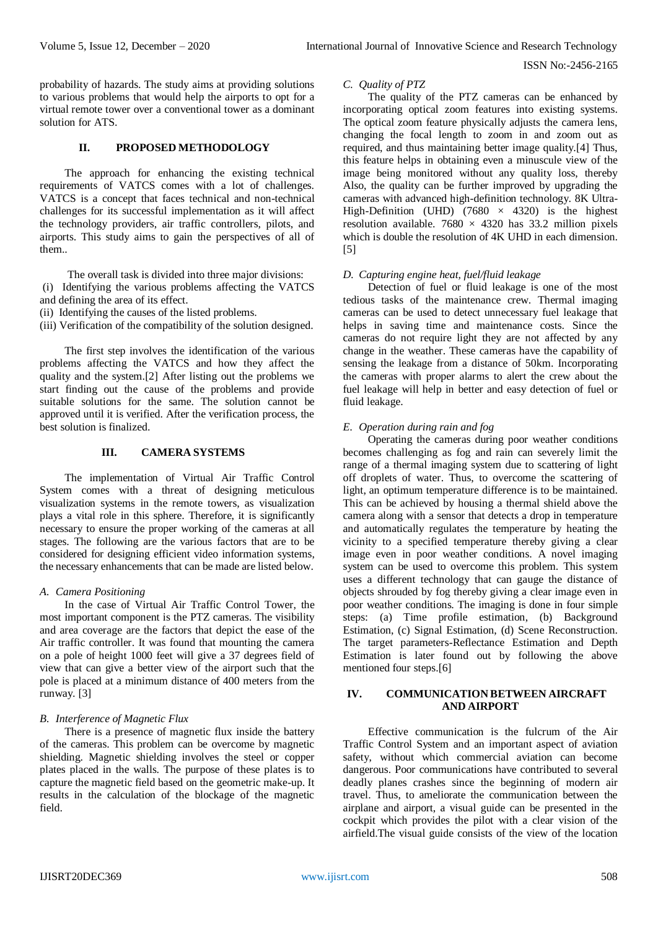#### ISSN No:-2456-2165

probability of hazards. The study aims at providing solutions to various problems that would help the airports to opt for a virtual remote tower over a conventional tower as a dominant solution for ATS

## **II. PROPOSED METHODOLOGY**

The approach for enhancing the existing technical requirements of VATCS comes with a lot of challenges. VATCS is a concept that faces technical and non-technical challenges for its successful implementation as it will affect the technology providers, air traffic controllers, pilots, and airports. This study aims to gain the perspectives of all of them..

The overall task is divided into three major divisions: (i) Identifying the various problems affecting the VATCS and defining the area of its effect.

(ii) Identifying the causes of the listed problems.

(iii) Verification of the compatibility of the solution designed.

The first step involves the identification of the various problems affecting the VATCS and how they affect the quality and the system.[2] After listing out the problems we start finding out the cause of the problems and provide suitable solutions for the same. The solution cannot be approved until it is verified. After the verification process, the best solution is finalized.

# **III. CAMERA SYSTEMS**

The implementation of Virtual Air Traffic Control System comes with a threat of designing meticulous visualization systems in the remote towers, as visualization plays a vital role in this sphere. Therefore, it is significantly necessary to ensure the proper working of the cameras at all stages. The following are the various factors that are to be considered for designing efficient video information systems, the necessary enhancements that can be made are listed below.

#### *A. Camera Positioning*

In the case of Virtual Air Traffic Control Tower, the most important component is the PTZ cameras. The visibility and area coverage are the factors that depict the ease of the Air traffic controller. It was found that mounting the camera on a pole of height 1000 feet will give a 37 degrees field of view that can give a better view of the airport such that the pole is placed at a minimum distance of 400 meters from the runway. [3]

## *B. Interference of Magnetic Flux*

There is a presence of magnetic flux inside the battery of the cameras. This problem can be overcome by magnetic shielding. Magnetic shielding involves the steel or copper plates placed in the walls. The purpose of these plates is to capture the magnetic field based on the geometric make-up. It results in the calculation of the blockage of the magnetic field.

#### *C. Quality of PTZ*

The quality of the PTZ cameras can be enhanced by incorporating optical zoom features into existing systems. The optical zoom feature physically adjusts the camera lens, changing the focal length to zoom in and zoom out as required, and thus maintaining better image quality.[4] Thus, this feature helps in obtaining even a minuscule view of the image being monitored without any quality loss, thereby Also, the quality can be further improved by upgrading the cameras with advanced high-definition technology. 8K Ultra-High-Definition (UHD) (7680  $\times$  4320) is the highest resolution available.  $7680 \times 4320$  has 33.2 million pixels which is double the resolution of 4K UHD in each dimension. [5]

## *D. Capturing engine heat, fuel/fluid leakage*

Detection of fuel or fluid leakage is one of the most tedious tasks of the maintenance crew. Thermal imaging cameras can be used to detect unnecessary fuel leakage that helps in saving time and maintenance costs. Since the cameras do not require light they are not affected by any change in the weather. These cameras have the capability of sensing the leakage from a distance of 50km. Incorporating the cameras with proper alarms to alert the crew about the fuel leakage will help in better and easy detection of fuel or fluid leakage.

## *E. Operation during rain and fog*

Operating the cameras during poor weather conditions becomes challenging as fog and rain can severely limit the range of a thermal imaging system due to scattering of light off droplets of water. Thus, to overcome the scattering of light, an optimum temperature difference is to be maintained. This can be achieved by housing a thermal shield above the camera along with a sensor that detects a drop in temperature and automatically regulates the temperature by heating the vicinity to a specified temperature thereby giving a clear image even in poor weather conditions. A novel imaging system can be used to overcome this problem. This system uses a different technology that can gauge the distance of objects shrouded by fog thereby giving a clear image even in poor weather conditions. The imaging is done in four simple steps: (a) Time profile estimation, (b) Background Estimation, (c) Signal Estimation, (d) Scene Reconstruction. The target parameters-Reflectance Estimation and Depth Estimation is later found out by following the above mentioned four steps.[6]

## **IV. COMMUNICATION BETWEEN AIRCRAFT AND AIRPORT**

Effective communication is the fulcrum of the Air Traffic Control System and an important aspect of aviation safety, without which commercial aviation can become dangerous. Poor communications have contributed to several deadly planes crashes since the beginning of modern air travel. Thus, to ameliorate the communication between the airplane and airport, a visual guide can be presented in the cockpit which provides the pilot with a clear vision of the airfield.The visual guide consists of the view of the location